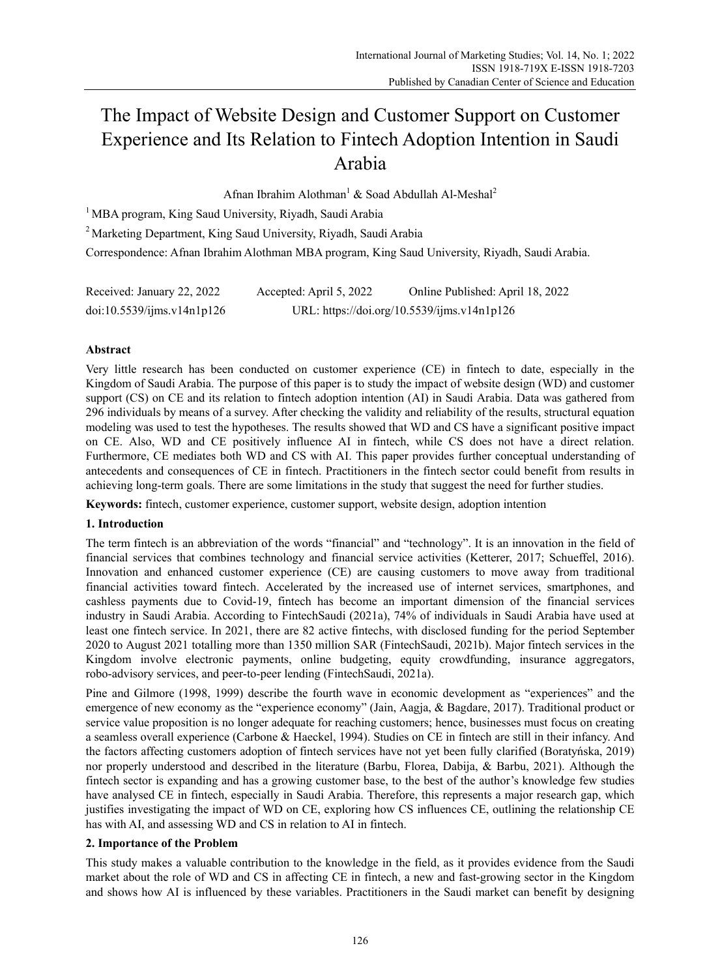# The Impact of Website Design and Customer Support on Customer Experience and Its Relation to Fintech Adoption Intention in Saudi Arabia

Afnan Ibrahim Alothman<sup>1</sup> & Soad Abdullah Al-Meshal<sup>2</sup>

<sup>1</sup> MBA program, King Saud University, Riyadh, Saudi Arabia

2 Marketing Department, King Saud University, Riyadh, Saudi Arabia

Correspondence: Afnan Ibrahim Alothman MBA program, King Saud University, Riyadh, Saudi Arabia.

| Received: January 22, 2022 | Accepted: April 5, 2022 | Online Published: April 18, 2022            |
|----------------------------|-------------------------|---------------------------------------------|
| doi:10.5539/ijms.v14n1p126 |                         | URL: https://doi.org/10.5539/ijms.v14n1p126 |

# **Abstract**

Very little research has been conducted on customer experience (CE) in fintech to date, especially in the Kingdom of Saudi Arabia. The purpose of this paper is to study the impact of website design (WD) and customer support (CS) on CE and its relation to fintech adoption intention (AI) in Saudi Arabia. Data was gathered from 296 individuals by means of a survey. After checking the validity and reliability of the results, structural equation modeling was used to test the hypotheses. The results showed that WD and CS have a significant positive impact on CE. Also, WD and CE positively influence AI in fintech, while CS does not have a direct relation. Furthermore, CE mediates both WD and CS with AI. This paper provides further conceptual understanding of antecedents and consequences of CE in fintech. Practitioners in the fintech sector could benefit from results in achieving long-term goals. There are some limitations in the study that suggest the need for further studies.

**Keywords:** fintech, customer experience, customer support, website design, adoption intention

### **1. Introduction**

The term fintech is an abbreviation of the words "financial" and "technology". It is an innovation in the field of financial services that combines technology and financial service activities (Ketterer, 2017; Schueffel, 2016). Innovation and enhanced customer experience (CE) are causing customers to move away from traditional financial activities toward fintech. Accelerated by the increased use of internet services, smartphones, and cashless payments due to Covid-19, fintech has become an important dimension of the financial services industry in Saudi Arabia. According to FintechSaudi (2021a), 74% of individuals in Saudi Arabia have used at least one fintech service. In 2021, there are 82 active fintechs, with disclosed funding for the period September 2020 to August 2021 totalling more than 1350 million SAR (FintechSaudi, 2021b). Major fintech services in the Kingdom involve electronic payments, online budgeting, equity crowdfunding, insurance aggregators, robo-advisory services, and peer-to-peer lending (FintechSaudi, 2021a).

Pine and Gilmore (1998, 1999) describe the fourth wave in economic development as "experiences" and the emergence of new economy as the "experience economy" (Jain, Aagja, & Bagdare, 2017). Traditional product or service value proposition is no longer adequate for reaching customers; hence, businesses must focus on creating a seamless overall experience (Carbone & Haeckel, 1994). Studies on CE in fintech are still in their infancy. And the factors affecting customers adoption of fintech services have not yet been fully clarified (Boratyńska, 2019) nor properly understood and described in the literature (Barbu, Florea, Dabija, & Barbu, 2021). Although the fintech sector is expanding and has a growing customer base, to the best of the author's knowledge few studies have analysed CE in fintech, especially in Saudi Arabia. Therefore, this represents a major research gap, which justifies investigating the impact of WD on CE, exploring how CS influences CE, outlining the relationship CE has with AI, and assessing WD and CS in relation to AI in fintech.

### **2. Importance of the Problem**

This study makes a valuable contribution to the knowledge in the field, as it provides evidence from the Saudi market about the role of WD and CS in affecting CE in fintech, a new and fast-growing sector in the Kingdom and shows how AI is influenced by these variables. Practitioners in the Saudi market can benefit by designing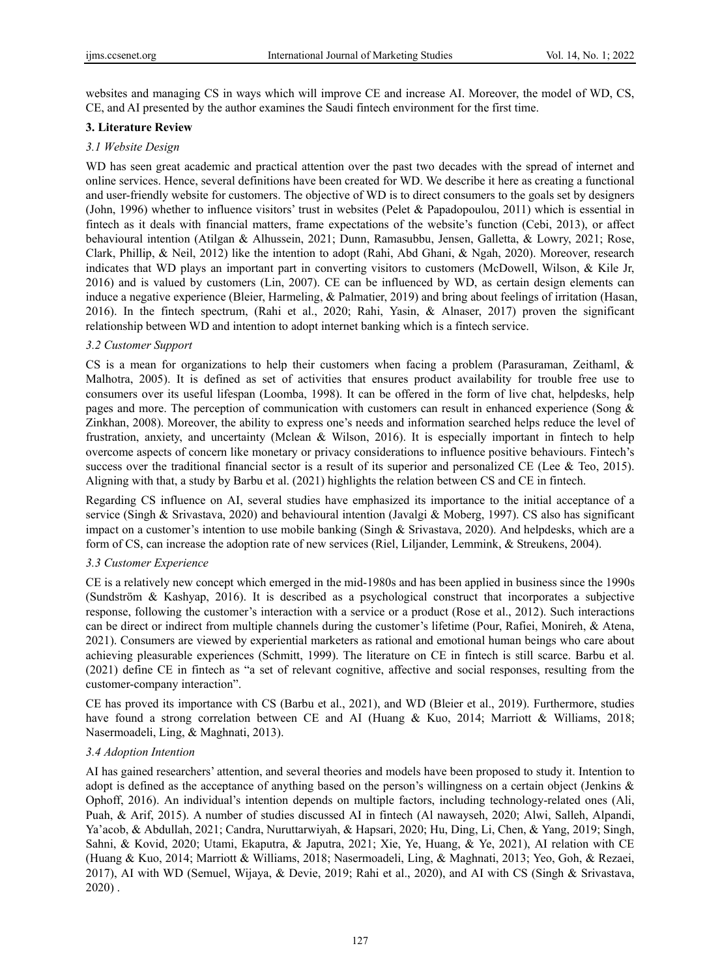websites and managing CS in ways which will improve CE and increase AI. Moreover, the model of WD, CS, CE, and AI presented by the author examines the Saudi fintech environment for the first time.

# **3. Literature Review**

## *3.1 Website Design*

WD has seen great academic and practical attention over the past two decades with the spread of internet and online services. Hence, several definitions have been created for WD. We describe it here as creating a functional and user-friendly website for customers. The objective of WD is to direct consumers to the goals set by designers (John, 1996) whether to influence visitors' trust in websites (Pelet & Papadopoulou, 2011) which is essential in fintech as it deals with financial matters, frame expectations of the website's function (Cebi, 2013), or affect behavioural intention (Atilgan & Alhussein, 2021; Dunn, Ramasubbu, Jensen, Galletta, & Lowry, 2021; Rose, Clark, Phillip, & Neil, 2012) like the intention to adopt (Rahi, Abd Ghani, & Ngah, 2020). Moreover, research indicates that WD plays an important part in converting visitors to customers (McDowell, Wilson, & Kile Jr, 2016) and is valued by customers (Lin, 2007). CE can be influenced by WD, as certain design elements can induce a negative experience (Bleier, Harmeling, & Palmatier, 2019) and bring about feelings of irritation (Hasan, 2016). In the fintech spectrum, (Rahi et al., 2020; Rahi, Yasin, & Alnaser, 2017) proven the significant relationship between WD and intention to adopt internet banking which is a fintech service.

# *3.2 Customer Support*

CS is a mean for organizations to help their customers when facing a problem (Parasuraman, Zeithaml, & Malhotra, 2005). It is defined as set of activities that ensures product availability for trouble free use to consumers over its useful lifespan (Loomba, 1998). It can be offered in the form of live chat, helpdesks, help pages and more. The perception of communication with customers can result in enhanced experience (Song & Zinkhan, 2008). Moreover, the ability to express one's needs and information searched helps reduce the level of frustration, anxiety, and uncertainty (Mclean & Wilson, 2016). It is especially important in fintech to help overcome aspects of concern like monetary or privacy considerations to influence positive behaviours. Fintech's success over the traditional financial sector is a result of its superior and personalized CE (Lee  $\&$  Teo, 2015). Aligning with that, a study by Barbu et al. (2021) highlights the relation between CS and CE in fintech.

Regarding CS influence on AI, several studies have emphasized its importance to the initial acceptance of a service (Singh & Srivastava, 2020) and behavioural intention (Javalgi & Moberg, 1997). CS also has significant impact on a customer's intention to use mobile banking (Singh & Srivastava, 2020). And helpdesks, which are a form of CS, can increase the adoption rate of new services (Riel, Liljander, Lemmink, & Streukens, 2004).

### *3.3 Customer Experience*

CE is a relatively new concept which emerged in the mid-1980s and has been applied in business since the 1990s (Sundström & Kashyap, 2016). It is described as a psychological construct that incorporates a subjective response, following the customer's interaction with a service or a product (Rose et al., 2012). Such interactions can be direct or indirect from multiple channels during the customer's lifetime (Pour, Rafiei, Monireh, & Atena, 2021). Consumers are viewed by experiential marketers as rational and emotional human beings who care about achieving pleasurable experiences (Schmitt, 1999). The literature on CE in fintech is still scarce. Barbu et al. (2021) define CE in fintech as "a set of relevant cognitive, affective and social responses, resulting from the customer-company interaction".

CE has proved its importance with CS (Barbu et al., 2021), and WD (Bleier et al., 2019). Furthermore, studies have found a strong correlation between CE and AI (Huang & Kuo, 2014; Marriott & Williams, 2018; Nasermoadeli, Ling, & Maghnati, 2013).

### *3.4 Adoption Intention*

AI has gained researchers' attention, and several theories and models have been proposed to study it. Intention to adopt is defined as the acceptance of anything based on the person's willingness on a certain object (Jenkins & Ophoff, 2016). An individual's intention depends on multiple factors, including technology-related ones (Ali, Puah, & Arif, 2015). A number of studies discussed AI in fintech (Al nawayseh, 2020; Alwi, Salleh, Alpandi, Ya'acob, & Abdullah, 2021; Candra, Nuruttarwiyah, & Hapsari, 2020; Hu, Ding, Li, Chen, & Yang, 2019; Singh, Sahni, & Kovid, 2020; Utami, Ekaputra, & Japutra, 2021; Xie, Ye, Huang, & Ye, 2021), AI relation with CE (Huang & Kuo, 2014; Marriott & Williams, 2018; Nasermoadeli, Ling, & Maghnati, 2013; Yeo, Goh, & Rezaei, 2017), AI with WD (Semuel, Wijaya, & Devie, 2019; Rahi et al., 2020), and AI with CS (Singh & Srivastava, 2020) .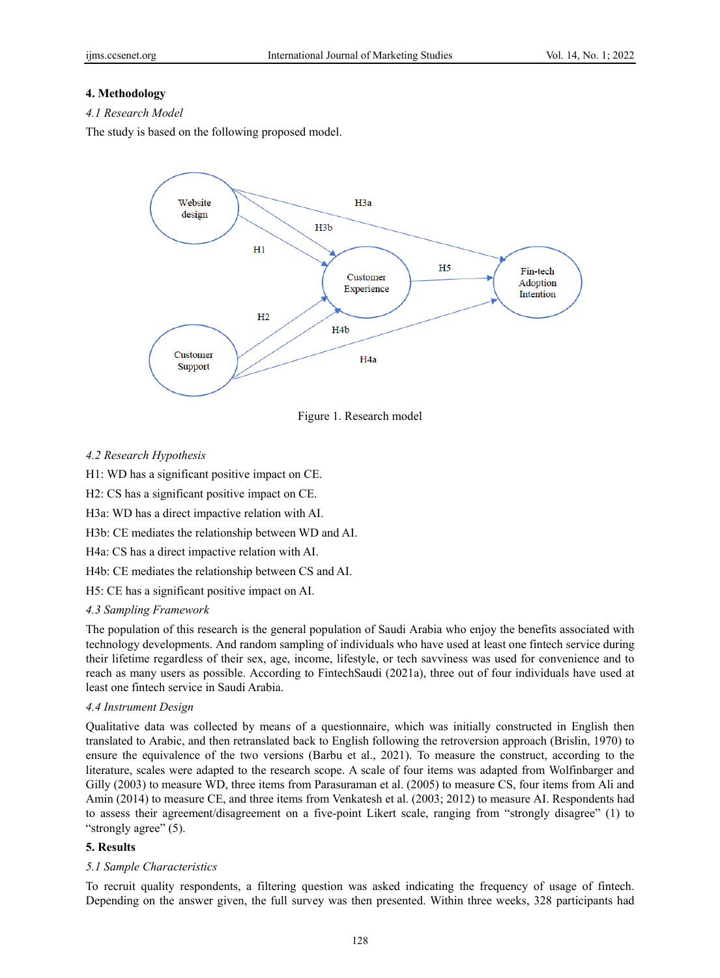# **4. Methodology**

*4.1 Research Model* 

The study is based on the following proposed model.



Figure 1. Research model

# *4.2 Research Hypothesis*

H1: WD has a significant positive impact on CE.

H2: CS has a significant positive impact on CE.

H3a: WD has a direct impactive relation with AI.

H3b: CE mediates the relationship between WD and AI.

H4a: CS has a direct impactive relation with AI.

H4b: CE mediates the relationship between CS and AI.

H5: CE has a significant positive impact on AI.

### *4.3 Sampling Framework*

The population of this research is the general population of Saudi Arabia who enjoy the benefits associated with technology developments. And random sampling of individuals who have used at least one fintech service during their lifetime regardless of their sex, age, income, lifestyle, or tech savviness was used for convenience and to reach as many users as possible. According to FintechSaudi (2021a), three out of four individuals have used at least one fintech service in Saudi Arabia.

### *4.4 Instrument Design*

Qualitative data was collected by means of a questionnaire, which was initially constructed in English then translated to Arabic, and then retranslated back to English following the retroversion approach (Brislin, 1970) to ensure the equivalence of the two versions (Barbu et al., 2021). To measure the construct, according to the literature, scales were adapted to the research scope. A scale of four items was adapted from Wolfinbarger and Gilly (2003) to measure WD, three items from Parasuraman et al. (2005) to measure CS, four items from Ali and Amin (2014) to measure CE, and three items from Venkatesh et al. (2003; 2012) to measure AI. Respondents had to assess their agreement/disagreement on a five-point Likert scale, ranging from "strongly disagree" (1) to "strongly agree" (5).

# **5. Results**

### *5.1 Sample Characteristics*

To recruit quality respondents, a filtering question was asked indicating the frequency of usage of fintech. Depending on the answer given, the full survey was then presented. Within three weeks, 328 participants had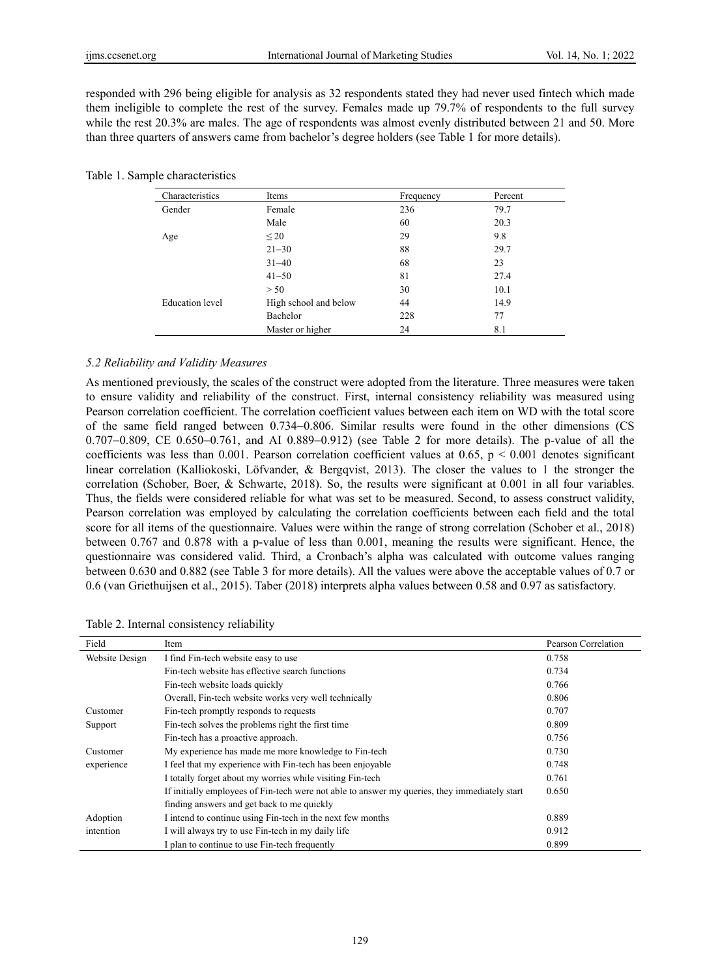responded with 296 being eligible for analysis as 32 respondents stated they had never used fintech which made them ineligible to complete the rest of the survey. Females made up 79.7% of respondents to the full survey while the rest 20.3% are males. The age of respondents was almost evenly distributed between 21 and 50. More than three quarters of answers came from bachelor's degree holders (see Table 1 for more details).

| Characteristics | Items                 | Frequency | Percent |  |
|-----------------|-----------------------|-----------|---------|--|
| Gender          | Female                | 236       | 79.7    |  |
|                 | Male                  | 60        | 20.3    |  |
| Age             | $\leq 20$             | 29        | 9.8     |  |
|                 | $21 - 30$             | 88        | 29.7    |  |
|                 | $31 - 40$             | 68        | 23      |  |
|                 | $41 - 50$             | 81        | 27.4    |  |
|                 | > 50                  | 30        | 10.1    |  |
| Education level | High school and below | 44        | 14.9    |  |
|                 | Bachelor              | 228       | 77      |  |
|                 | Master or higher      | 24        | 8.1     |  |

|  |  | Table 1. Sample characteristics |
|--|--|---------------------------------|
|--|--|---------------------------------|

### *5.2 Reliability and Validity Measures*

As mentioned previously, the scales of the construct were adopted from the literature. Three measures were taken to ensure validity and reliability of the construct. First, internal consistency reliability was measured using Pearson correlation coefficient. The correlation coefficient values between each item on WD with the total score of the same field ranged between 0.734−0.806. Similar results were found in the other dimensions (CS 0.707−0.809, CE 0.650−0.761, and AI 0.889−0.912) (see Table 2 for more details). The p-value of all the coefficients was less than 0.001. Pearson correlation coefficient values at  $0.65$ ,  $p < 0.001$  denotes significant linear correlation (Kalliokoski, Löfvander, & Bergqvist, 2013). The closer the values to 1 the stronger the correlation (Schober, Boer, & Schwarte, 2018). So, the results were significant at 0.001 in all four variables. Thus, the fields were considered reliable for what was set to be measured. Second, to assess construct validity, Pearson correlation was employed by calculating the correlation coefficients between each field and the total score for all items of the questionnaire. Values were within the range of strong correlation (Schober et al., 2018) between 0.767 and 0.878 with a p-value of less than 0.001, meaning the results were significant. Hence, the questionnaire was considered valid. Third, a Cronbach's alpha was calculated with outcome values ranging between 0.630 and 0.882 (see Table 3 for more details). All the values were above the acceptable values of 0.7 or 0.6 (van Griethuijsen et al., 2015). Taber (2018) interprets alpha values between 0.58 and 0.97 as satisfactory.

| Field          | Item                                                                                          | Pearson Correlation |
|----------------|-----------------------------------------------------------------------------------------------|---------------------|
| Website Design | I find Fin-tech website easy to use                                                           | 0.758               |
|                | Fin-tech website has effective search functions                                               | 0.734               |
|                | Fin-tech website loads quickly                                                                | 0.766               |
|                | Overall, Fin-tech website works very well technically                                         | 0.806               |
| Customer       | Fin-tech promptly responds to requests                                                        | 0.707               |
| Support        | Fin-tech solves the problems right the first time                                             | 0.809               |
|                | Fin-tech has a proactive approach.                                                            | 0.756               |
| Customer       | My experience has made me more knowledge to Fin-tech                                          | 0.730               |
| experience     | I feel that my experience with Fin-tech has been enjoyable                                    | 0.748               |
|                | I totally forget about my worries while visiting Fin-tech                                     | 0.761               |
|                | If initially employees of Fin-tech were not able to answer my queries, they immediately start | 0.650               |
|                | finding answers and get back to me quickly                                                    |                     |
| Adoption       | I intend to continue using Fin-tech in the next few months                                    | 0.889               |
| intention      | I will always try to use Fin-tech in my daily life                                            | 0.912               |
|                | I plan to continue to use Fin-tech frequently                                                 | 0.899               |

Table 2. Internal consistency reliability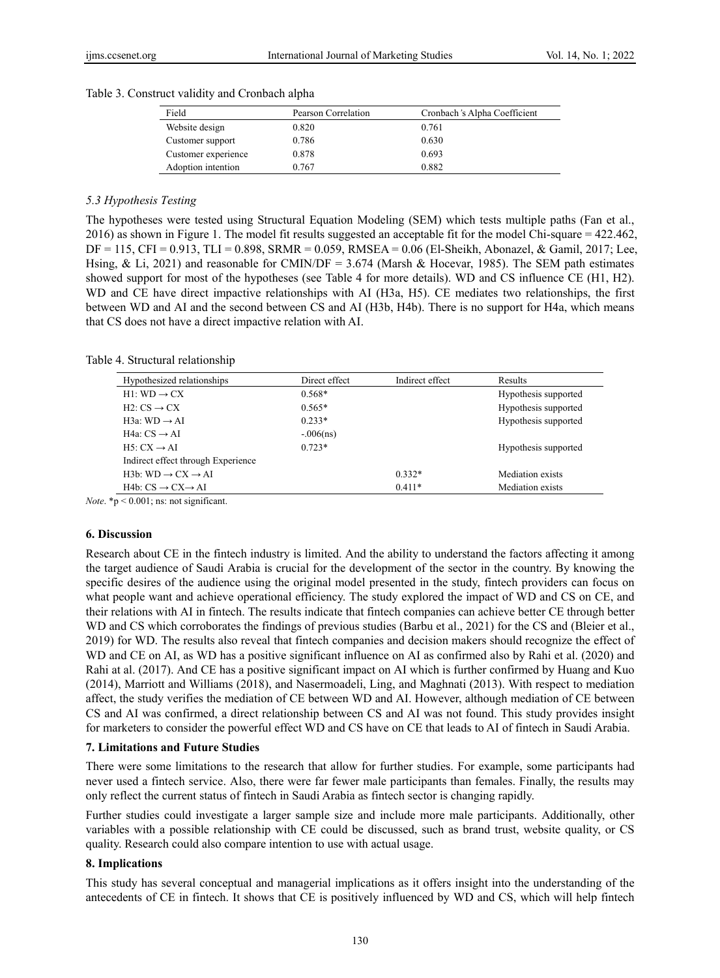### Table 3. Construct validity and Cronbach alpha

| Field               | Pearson Correlation | Cronbach's Alpha Coefficient |
|---------------------|---------------------|------------------------------|
| Website design      | 0.820               | 0.761                        |
| Customer support    | 0.786               | 0.630                        |
| Customer experience | 0.878               | 0.693                        |
| Adoption intention  | 0.767               | 0.882                        |

### *5.3 Hypothesis Testing*

The hypotheses were tested using Structural Equation Modeling (SEM) which tests multiple paths (Fan et al., 2016) as shown in Figure 1. The model fit results suggested an acceptable fit for the model Chi-square = 422.462, DF = 115, CFI = 0.913, TLI = 0.898, SRMR = 0.059, RMSEA = 0.06 (El-Sheikh, Abonazel, & Gamil, 2017; Lee, Hsing, & Li, 2021) and reasonable for CMIN/DF = 3.674 (Marsh & Hocevar, 1985). The SEM path estimates showed support for most of the hypotheses (see Table 4 for more details). WD and CS influence CE (H1, H2). WD and CE have direct impactive relationships with AI (H3a, H5). CE mediates two relationships, the first between WD and AI and the second between CS and AI (H3b, H4b). There is no support for H4a, which means that CS does not have a direct impactive relation with AI.

#### Table 4. Structural relationship

| Hypothesized relationships              | Direct effect | Indirect effect | Results              |
|-----------------------------------------|---------------|-----------------|----------------------|
| $H1:WD\rightarrow CX$                   | $0.568*$      |                 | Hypothesis supported |
| $H2: CS \rightarrow CX$                 | $0.565*$      |                 | Hypothesis supported |
| H3a: WD $\rightarrow$ AI                | $0.233*$      |                 | Hypothesis supported |
| H4a: $CS \rightarrow AI$                | $-0.06$ (ns)  |                 |                      |
| $H5: CX \rightarrow AI$                 | $0.723*$      |                 | Hypothesis supported |
| Indirect effect through Experience      |               |                 |                      |
| $H3b: WD \rightarrow CX \rightarrow AI$ |               | $0.332*$        | Mediation exists     |
| $H4b: CS \rightarrow CX \rightarrow AI$ |               | $0.411*$        | Mediation exists     |

*Note*. \*p < 0.001; ns: not significant.

### **6. Discussion**

Research about CE in the fintech industry is limited. And the ability to understand the factors affecting it among the target audience of Saudi Arabia is crucial for the development of the sector in the country. By knowing the specific desires of the audience using the original model presented in the study, fintech providers can focus on what people want and achieve operational efficiency. The study explored the impact of WD and CS on CE, and their relations with AI in fintech. The results indicate that fintech companies can achieve better CE through better WD and CS which corroborates the findings of previous studies (Barbu et al., 2021) for the CS and (Bleier et al., 2019) for WD. The results also reveal that fintech companies and decision makers should recognize the effect of WD and CE on AI, as WD has a positive significant influence on AI as confirmed also by Rahi et al. (2020) and Rahi at al. (2017). And CE has a positive significant impact on AI which is further confirmed by Huang and Kuo (2014), Marriott and Williams (2018), and Nasermoadeli, Ling, and Maghnati (2013). With respect to mediation affect, the study verifies the mediation of CE between WD and AI. However, although mediation of CE between CS and AI was confirmed, a direct relationship between CS and AI was not found. This study provides insight for marketers to consider the powerful effect WD and CS have on CE that leads to AI of fintech in Saudi Arabia.

#### **7. Limitations and Future Studies**

There were some limitations to the research that allow for further studies. For example, some participants had never used a fintech service. Also, there were far fewer male participants than females. Finally, the results may only reflect the current status of fintech in Saudi Arabia as fintech sector is changing rapidly.

Further studies could investigate a larger sample size and include more male participants. Additionally, other variables with a possible relationship with CE could be discussed, such as brand trust, website quality, or CS quality. Research could also compare intention to use with actual usage.

### **8. Implications**

This study has several conceptual and managerial implications as it offers insight into the understanding of the antecedents of CE in fintech. It shows that CE is positively influenced by WD and CS, which will help fintech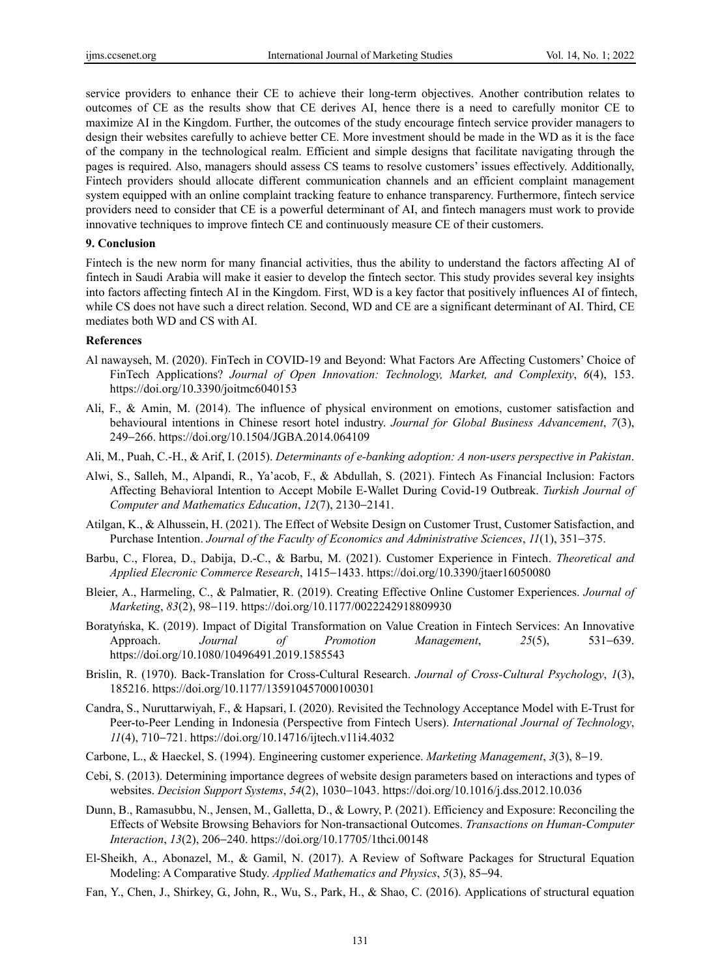service providers to enhance their CE to achieve their long-term objectives. Another contribution relates to outcomes of CE as the results show that CE derives AI, hence there is a need to carefully monitor CE to maximize AI in the Kingdom. Further, the outcomes of the study encourage fintech service provider managers to design their websites carefully to achieve better CE. More investment should be made in the WD as it is the face of the company in the technological realm. Efficient and simple designs that facilitate navigating through the pages is required. Also, managers should assess CS teams to resolve customers' issues effectively. Additionally, Fintech providers should allocate different communication channels and an efficient complaint management system equipped with an online complaint tracking feature to enhance transparency. Furthermore, fintech service providers need to consider that CE is a powerful determinant of AI, and fintech managers must work to provide innovative techniques to improve fintech CE and continuously measure CE of their customers.

### **9. Conclusion**

Fintech is the new norm for many financial activities, thus the ability to understand the factors affecting AI of fintech in Saudi Arabia will make it easier to develop the fintech sector. This study provides several key insights into factors affecting fintech AI in the Kingdom. First, WD is a key factor that positively influences AI of fintech, while CS does not have such a direct relation. Second, WD and CE are a significant determinant of AI. Third, CE mediates both WD and CS with AI.

### **References**

- Al nawayseh, M. (2020). FinTech in COVID-19 and Beyond: What Factors Are Affecting Customers' Choice of FinTech Applications? *Journal of Open Innovation: Technology, Market, and Complexity*, *6*(4), 153. https://doi.org/10.3390/joitmc6040153
- Ali, F., & Amin, M. (2014). The influence of physical environment on emotions, customer satisfaction and behavioural intentions in Chinese resort hotel industry. *Journal for Global Business Advancement*, *7*(3), 249−266. https://doi.org/10.1504/JGBA.2014.064109
- Ali, M., Puah, C.-H., & Arif, I. (2015). *Determinants of e-banking adoption: A non-users perspective in Pakistan*.
- Alwi, S., Salleh, M., Alpandi, R., Ya'acob, F., & Abdullah, S. (2021). Fintech As Financial Inclusion: Factors Affecting Behavioral Intention to Accept Mobile E-Wallet During Covid-19 Outbreak. *Turkish Journal of Computer and Mathematics Education*, *12*(7), 2130−2141.
- Atilgan, K., & Alhussein, H. (2021). The Effect of Website Design on Customer Trust, Customer Satisfaction, and Purchase Intention. *Journal of the Faculty of Economics and Administrative Sciences*, *11*(1), 351−375.
- Barbu, C., Florea, D., Dabija, D.-C., & Barbu, M. (2021). Customer Experience in Fintech. *Theoretical and Applied Elecronic Commerce Research*, 1415−1433. https://doi.org/10.3390/jtaer16050080
- Bleier, A., Harmeling, C., & Palmatier, R. (2019). Creating Effective Online Customer Experiences. *Journal of Marketing*, *83*(2), 98−119. https://doi.org/10.1177/0022242918809930
- Boratyńska, K. (2019). Impact of Digital Transformation on Value Creation in Fintech Services: An Innovative Approach. *Journal of Promotion Management*, *25*(5), 531−639. https://doi.org/10.1080/10496491.2019.1585543
- Brislin, R. (1970). Back-Translation for Cross-Cultural Research. *Journal of Cross-Cultural Psychology*, *1*(3), 185216. https://doi.org/10.1177/135910457000100301
- Candra, S., Nuruttarwiyah, F., & Hapsari, I. (2020). Revisited the Technology Acceptance Model with E-Trust for Peer-to-Peer Lending in Indonesia (Perspective from Fintech Users). *International Journal of Technology*, *11*(4), 710−721. https://doi.org/10.14716/ijtech.v11i4.4032
- Carbone, L., & Haeckel, S. (1994). Engineering customer experience. *Marketing Management*, *3*(3), 8−19.
- Cebi, S. (2013). Determining importance degrees of website design parameters based on interactions and types of websites. *Decision Support Systems*, *54*(2), 1030−1043. https://doi.org/10.1016/j.dss.2012.10.036
- Dunn, B., Ramasubbu, N., Jensen, M., Galletta, D., & Lowry, P. (2021). Efficiency and Exposure: Reconciling the Effects of Website Browsing Behaviors for Non-transactional Outcomes. *Transactions on Human-Computer Interaction*, *13*(2), 206−240. https://doi.org/10.17705/1thci.00148
- El-Sheikh, A., Abonazel, M., & Gamil, N. (2017). A Review of Software Packages for Structural Equation Modeling: A Comparative Study. *Applied Mathematics and Physics*, *5*(3), 85−94.
- Fan, Y., Chen, J., Shirkey, G., John, R., Wu, S., Park, H., & Shao, C. (2016). Applications of structural equation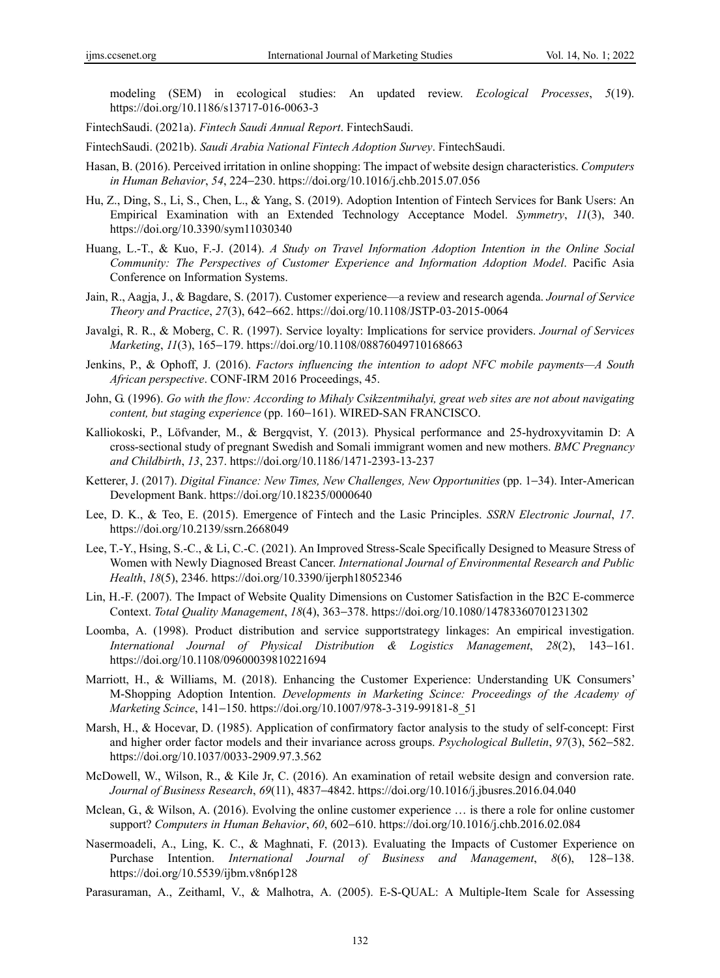modeling (SEM) in ecological studies: An updated review. *Ecological Processes*, *5*(19). https://doi.org/10.1186/s13717-016-0063-3

FintechSaudi. (2021a). *Fintech Saudi Annual Report*. FintechSaudi.

FintechSaudi. (2021b). *Saudi Arabia National Fintech Adoption Survey*. FintechSaudi.

- Hasan, B. (2016). Perceived irritation in online shopping: The impact of website design characteristics. *Computers in Human Behavior*, *54*, 224−230. https://doi.org/10.1016/j.chb.2015.07.056
- Hu, Z., Ding, S., Li, S., Chen, L., & Yang, S. (2019). Adoption Intention of Fintech Services for Bank Users: An Empirical Examination with an Extended Technology Acceptance Model. *Symmetry*, *11*(3), 340. https://doi.org/10.3390/sym11030340
- Huang, L.-T., & Kuo, F.-J. (2014). *A Study on Travel Information Adoption Intention in the Online Social Community: The Perspectives of Customer Experience and Information Adoption Model*. Pacific Asia Conference on Information Systems.
- Jain, R., Aagja, J., & Bagdare, S. (2017). Customer experience—a review and research agenda. *Journal of Service Theory and Practice*, *27*(3), 642−662. https://doi.org/10.1108/JSTP-03-2015-0064
- Javalgi, R. R., & Moberg, C. R. (1997). Service loyalty: Implications for service providers. *Journal of Services Marketing*, *11*(3), 165−179. https://doi.org/10.1108/08876049710168663
- Jenkins, P., & Ophoff, J. (2016). *Factors influencing the intention to adopt NFC mobile payments—A South African perspective*. CONF-IRM 2016 Proceedings, 45.
- John, G. (1996). *Go with the flow: According to Mihaly Csikzentmihalyi, great web sites are not about navigating content, but staging experience* (pp. 160−161). WIRED-SAN FRANCISCO.
- Kalliokoski, P., Löfvander, M., & Bergqvist, Y. (2013). Physical performance and 25-hydroxyvitamin D: A cross-sectional study of pregnant Swedish and Somali immigrant women and new mothers. *BMC Pregnancy and Childbirth*, *13*, 237. https://doi.org/10.1186/1471-2393-13-237
- Ketterer, J. (2017). *Digital Finance: New Times, New Challenges, New Opportunities* (pp. 1−34). Inter-American Development Bank. https://doi.org/10.18235/0000640
- Lee, D. K., & Teo, E. (2015). Emergence of Fintech and the Lasic Principles. *SSRN Electronic Journal*, *17*. https://doi.org/10.2139/ssrn.2668049
- Lee, T.-Y., Hsing, S.-C., & Li, C.-C. (2021). An Improved Stress-Scale Specifically Designed to Measure Stress of Women with Newly Diagnosed Breast Cancer. *International Journal of Environmental Research and Public Health*, *18*(5), 2346. https://doi.org/10.3390/ijerph18052346
- Lin, H.-F. (2007). The Impact of Website Quality Dimensions on Customer Satisfaction in the B2C E-commerce Context. *Total Quality Management*, *18*(4), 363−378. https://doi.org/10.1080/14783360701231302
- Loomba, A. (1998). Product distribution and service supportstrategy linkages: An empirical investigation. *International Journal of Physical Distribution & Logistics Management*, *28*(2), 143−161. https://doi.org/10.1108/09600039810221694
- Marriott, H., & Williams, M. (2018). Enhancing the Customer Experience: Understanding UK Consumers' M-Shopping Adoption Intention. *Developments in Marketing Scince: Proceedings of the Academy of Marketing Scince*, 141−150. https://doi.org/10.1007/978-3-319-99181-8\_51
- Marsh, H., & Hocevar, D. (1985). Application of confirmatory factor analysis to the study of self-concept: First and higher order factor models and their invariance across groups. *Psychological Bulletin*, *97*(3), 562−582. https://doi.org/10.1037/0033-2909.97.3.562
- McDowell, W., Wilson, R., & Kile Jr, C. (2016). An examination of retail website design and conversion rate. *Journal of Business Research*, *69*(11), 4837−4842. https://doi.org/10.1016/j.jbusres.2016.04.040
- Mclean, G., & Wilson, A. (2016). Evolving the online customer experience … is there a role for online customer support? *Computers in Human Behavior*, *60*, 602−610. https://doi.org/10.1016/j.chb.2016.02.084
- Nasermoadeli, A., Ling, K. C., & Maghnati, F. (2013). Evaluating the Impacts of Customer Experience on Purchase Intention. *International Journal of Business and Management*, *8*(6), 128−138. https://doi.org/10.5539/ijbm.v8n6p128
- Parasuraman, A., Zeithaml, V., & Malhotra, A. (2005). E-S-QUAL: A Multiple-Item Scale for Assessing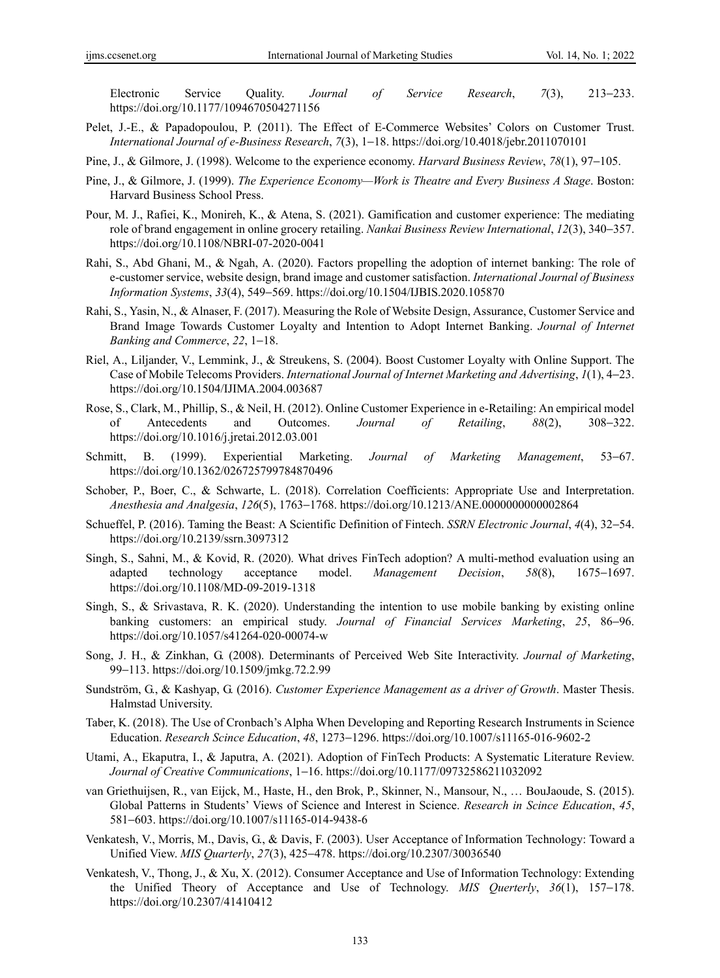Electronic Service Quality. *Journal of Service Research*, *7*(3), 213−233. https://doi.org/10.1177/1094670504271156

Pelet, J.-E., & Papadopoulou, P. (2011). The Effect of E-Commerce Websites' Colors on Customer Trust. *International Journal of e-Business Research*, *7*(3), 1−18. https://doi.org/10.4018/jebr.2011070101

Pine, J., & Gilmore, J. (1998). Welcome to the experience economy. *Harvard Business Review*, *78*(1), 97−105.

- Pine, J., & Gilmore, J. (1999). *The Experience Economy—Work is Theatre and Every Business A Stage*. Boston: Harvard Business School Press.
- Pour, M. J., Rafiei, K., Monireh, K., & Atena, S. (2021). Gamification and customer experience: The mediating role of brand engagement in online grocery retailing. *Nankai Business Review International*, *12*(3), 340−357. https://doi.org/10.1108/NBRI-07-2020-0041
- Rahi, S., Abd Ghani, M., & Ngah, A. (2020). Factors propelling the adoption of internet banking: The role of e-customer service, website design, brand image and customer satisfaction. *International Journal of Business Information Systems*, *33*(4), 549−569. https://doi.org/10.1504/IJBIS.2020.105870
- Rahi, S., Yasin, N., & Alnaser, F. (2017). Measuring the Role of Website Design, Assurance, Customer Service and Brand Image Towards Customer Loyalty and Intention to Adopt Internet Banking. *Journal of Internet Banking and Commerce*, *22*, 1−18.
- Riel, A., Liljander, V., Lemmink, J., & Streukens, S. (2004). Boost Customer Loyalty with Online Support. The Case of Mobile Telecoms Providers. *International Journal of Internet Marketing and Advertising*, *1*(1), 4−23. https://doi.org/10.1504/IJIMA.2004.003687
- Rose, S., Clark, M., Phillip, S., & Neil, H. (2012). Online Customer Experience in e-Retailing: An empirical model of Antecedents and Outcomes. *Journal of Retailing*, *88*(2), 308−322. https://doi.org/10.1016/j.jretai.2012.03.001
- Schmitt, B. (1999). Experiential Marketing. *Journal of Marketing Management*, 53−67. https://doi.org/10.1362/026725799784870496
- Schober, P., Boer, C., & Schwarte, L. (2018). Correlation Coefficients: Appropriate Use and Interpretation. *Anesthesia and Analgesia*, *126*(5), 1763−1768. https://doi.org/10.1213/ANE.0000000000002864
- Schueffel, P. (2016). Taming the Beast: A Scientific Definition of Fintech. *SSRN Electronic Journal*, *4*(4), 32−54. https://doi.org/10.2139/ssrn.3097312
- Singh, S., Sahni, M., & Kovid, R. (2020). What drives FinTech adoption? A multi-method evaluation using an adapted technology acceptance model. *Management Decision*, *58*(8), 1675−1697. https://doi.org/10.1108/MD-09-2019-1318
- Singh, S., & Srivastava, R. K. (2020). Understanding the intention to use mobile banking by existing online banking customers: an empirical study. *Journal of Financial Services Marketing*, *25*, 86−96. https://doi.org/10.1057/s41264-020-00074-w
- Song, J. H., & Zinkhan, G. (2008). Determinants of Perceived Web Site Interactivity. *Journal of Marketing*, 99−113. https://doi.org/10.1509/jmkg.72.2.99
- Sundström, G., & Kashyap, G. (2016). *Customer Experience Management as a driver of Growth*. Master Thesis. Halmstad University.
- Taber, K. (2018). The Use of Cronbach's Alpha When Developing and Reporting Research Instruments in Science Education. *Research Scince Education*, *48*, 1273−1296. https://doi.org/10.1007/s11165-016-9602-2
- Utami, A., Ekaputra, I., & Japutra, A. (2021). Adoption of FinTech Products: A Systematic Literature Review. *Journal of Creative Communications*, 1−16. https://doi.org/10.1177/09732586211032092
- van Griethuijsen, R., van Eijck, M., Haste, H., den Brok, P., Skinner, N., Mansour, N., … BouJaoude, S. (2015). Global Patterns in Students' Views of Science and Interest in Science. *Research in Scince Education*, *45*, 581−603. https://doi.org/10.1007/s11165-014-9438-6
- Venkatesh, V., Morris, M., Davis, G., & Davis, F. (2003). User Acceptance of Information Technology: Toward a Unified View. *MIS Quarterly*, *27*(3), 425−478. https://doi.org/10.2307/30036540
- Venkatesh, V., Thong, J., & Xu, X. (2012). Consumer Acceptance and Use of Information Technology: Extending the Unified Theory of Acceptance and Use of Technology. *MIS Querterly*, *36*(1), 157−178. https://doi.org/10.2307/41410412